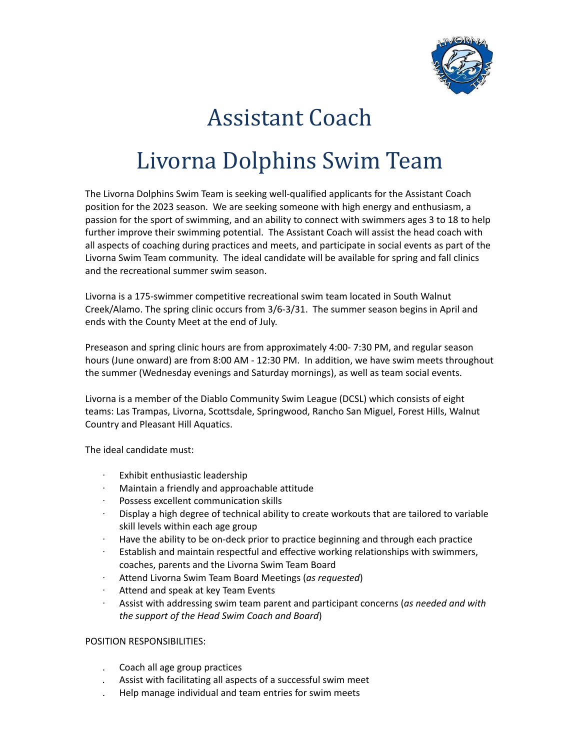

# Assistant Coach

# Livorna Dolphins Swim Team

The Livorna Dolphins Swim Team is seeking well-qualified applicants for the Assistant Coach position for the 2023 season. We are seeking someone with high energy and enthusiasm, a passion for the sport of swimming, and an ability to connect with swimmers ages 3 to 18 to help further improve their swimming potential. The Assistant Coach will assist the head coach with all aspects of coaching during practices and meets, and participate in social events as part of the Livorna Swim Team community. The ideal candidate will be available for spring and fall clinics and the recreational summer swim season.

Livorna is a 175-swimmer competitive recreational swim team located in South Walnut Creek/Alamo. The spring clinic occurs from 3/6-3/31. The summer season begins in April and ends with the County Meet at the end of July.

Preseason and spring clinic hours are from approximately 4:00- 7:30 PM, and regular season hours (June onward) are from 8:00 AM - 12:30 PM. In addition, we have swim meets throughout the summer (Wednesday evenings and Saturday mornings), as well as team social events.

Livorna is a member of the Diablo Community Swim League (DCSL) which consists of eight teams: Las Trampas, Livorna, Scottsdale, Springwood, Rancho San Miguel, Forest Hills, Walnut Country and Pleasant Hill Aquatics.

The ideal candidate must:

- Exhibit enthusiastic leadership
- · Maintain a friendly and approachable attitude
- Possess excellent communication skills
- · Display a high degree of technical ability to create workouts that are tailored to variable skill levels within each age group
- · Have the ability to be on-deck prior to practice beginning and through each practice
- · Establish and maintain respectful and effective working relationships with swimmers, coaches, parents and the Livorna Swim Team Board
- · Attend Livorna Swim Team Board Meetings (*as requested*)
- Attend and speak at key Team Events
- · Assist with addressing swim team parent and participant concerns (*as needed and with the support of the Head Swim Coach and Board*)

### POSITION RESPONSIBILITIES:

- . Coach all age group practices
- . Assist with facilitating all aspects of a successful swim meet
- . Help manage individual and team entries for swim meets